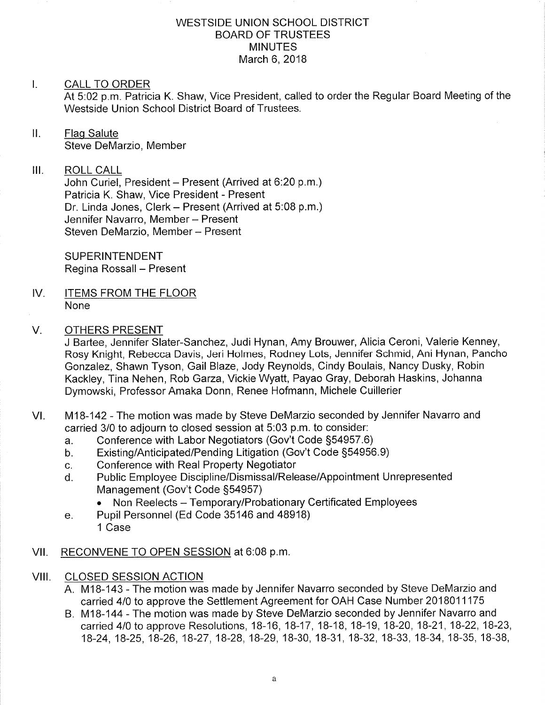### WESTSIDE UNION SCHOOL DISTRICT BOARD OF TRUSTEES **MINUTES** March 6,2018

## I. CALL TO ORDER

At 5:02 p.m. Patricia K. Shaw, Vice President, called to order the Regular Board Meeting of the Westside Union School District Board of Trustees.

II. Flag Salute Steve DeMarzio, Member

### $III.$ ROLL CALL

John Curiel, President - Present (Arrived at 6:20 p.m.) Patricia K. Shaw, Vice President - Present Dr. Linda Jones, Clerk - Present (Arrived at 5:08 p.m.) Jennifer Navarro, Member - Present Steven DeMarzio, Member - Present

**SUPERINTENDENT** Regina Rossall - Present

IV. **ITEMS FROM THE FLOOR** None

#### V OTHERS PRESENT

J Bartee, Jennifer Slater-Sanchez, Judi Hynan, Amy Brouwer, Alicia Ceroni, Valerie Kenney, Rosy Knight, Rebecca Davis, Jeri Holmes, Rodney Lots, Jennifer Schmid, Ani Hynan, Pancho Gonzalez, Shawn Tyson, Gail Blaze, Jody Reynolds, Cindy Boulais, Nancy Dusky, Robin Kackley, Tina Nehen, Rob Garza, Vickie Wyatt, Payao Gray, Deborah Haskins, Johanna Dymowski, Professor Amaka Donn, Renee Hofmann, Michele Cuillerier

- VI. M18-142 The motion was made by Steve DeMarzio seconded by Jennifer Navarro and carried 3/0 to adjourn to closed session at 5:03 p.m. to consider:
	- a. Conference with Labor Negotiators (Gov't Code §54957.6)<br>b. Existing/Anticipated/Pending Litigation (Gov't Code §54956.9)
	-
	-
	- c. Conference with Real Property Negotiator<br>d. Public Employee Discipline/Dismissal/Release/Appointment Unrepresented Management (Gov't Code S54957)
		- Non Reelects Temporary/Probationary Certificated Employees
	- e. Pupil Personnel (Ed Code 35146 and 48918)
		- 1 Case
- VII. RECONVENE TO OPEN SESSION at 6:08 p.m.
- VIII. CLOSED SESSION ACTION
	- A. M18-143 The motion was made by Jennifer Navarro seconded by Steve DeMarzio and carried 410 to approve the Settlement Agreement for OAH Case Number 2018011175
	- B. M1B-144 -The motion was made by Steve DeMarzio seconded by Jennifer Navarro and carried 4/0 to approve Resolutions, 18-16, 18-17, 18-18, 18-19, 18-20, 18-21, 18-22, 18-23, 18-24, 1g-25, 18-26, 18-27 , 18-28, 18-29, 18-30, 1B-31 , 18-32, 1B-33, 18-34, 18-35, 1B-38,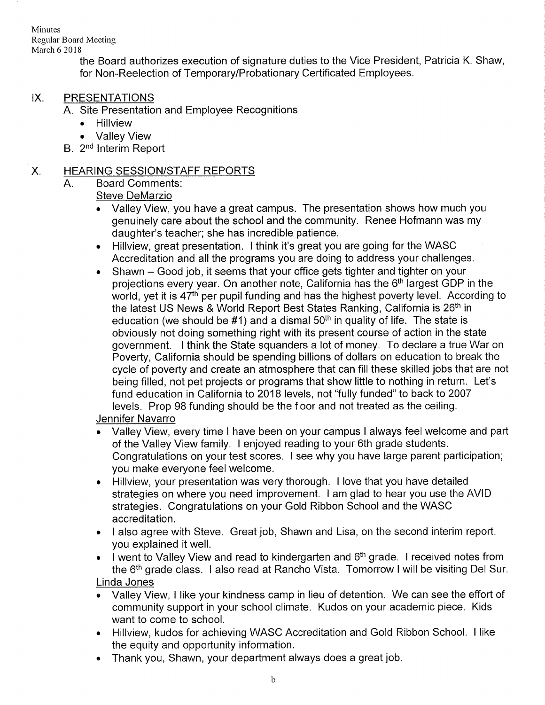Minutes Regular Board Meeting March 6 2018

the Board authorizes execution of signature duties to the Vice President, Patricia K. Shaw, for Non-Reelection of Temporary/Probationary Certificated Employees.

## IX. PRESENTATIONS

A. Site Presentation and Employee Recognitions

- . Hillview
- . Valley View
- B. 2nd lnterim Report

## X. HEARING SESSION/STAFF REPORTS

# A. Board Comments:

Steve DeMarzio

- Valley View, you have a great campus. The presentation shows how much you genuinely care about the school and the community. Renee Hofmann was my daughter's teacher; she has incredible patience.
- . Hillview, great presentation. I think it's great you are going for the WASC Accreditation and all the programs you are doing to address your challenges.
- Shawn Good job, it seems that your office gets tighter and tighter on your projections every year. On another note, California has the 6th largest GDP in the world, yet it is 47<sup>th</sup> per pupil funding and has the highest poverty level. According to the latest US News & World Report Best States Ranking, California is 26<sup>th</sup> in education (we should be  $\#$ 1) and a dismal  $50<sup>th</sup>$  in quality of life. The state is obviously not doing something right with its present course of action in the state government. I think the State squanders a lot of money. To declare a true War on Poverty, California should be spending billions of dollars on education to break the cycle of poverty and create an atmosphere that can fill these skilled jobs that are not being filled, not pet projects or programs that show little to nothing in return. Let's fund education in California to 2018 levels, not "fully funded" to back to 2007 levels. Prop 98 funding should be the floor and not treated as the ceiling.

Jennifer Navarro

- . Valley View, every time I have been on your campus I always feel welcome and part of the Valley View family. I enjoyed reading to your 6th grade students. Congratulations on your test scores. I see why you have large parent participation; you make everyone feel welcome.
- . Hillview, your presentation was very thorough. I love that you have detailed strategies on where you need improvement. I am glad to hear you use the AVID strategies. Congratulations on your Gold Ribbon School and the WASC accreditation.
- . <sup>I</sup>also agree with Steve. Great job, Shawn and Lisa, on the second interim repod, you explained it well.
- I went to Valley View and read to kindergarten and  $6<sup>th</sup>$  grade. I received notes from the 6<sup>th</sup> grade class. I also read at Rancho Vista. Tomorrow I will be visiting Del Sur. Linda Jones
- Valley View, I like your kindness camp in lieu of detention. We can see the effort of community support in your school climate. Kudos on your academic piece. Kids want to come to school. a
- Hillview, kudos for achieving WASC Accreditation and Gold Ribbon School. I like a the equity and opportunity information.
- Thank you, Shawn, your department always does a great job. a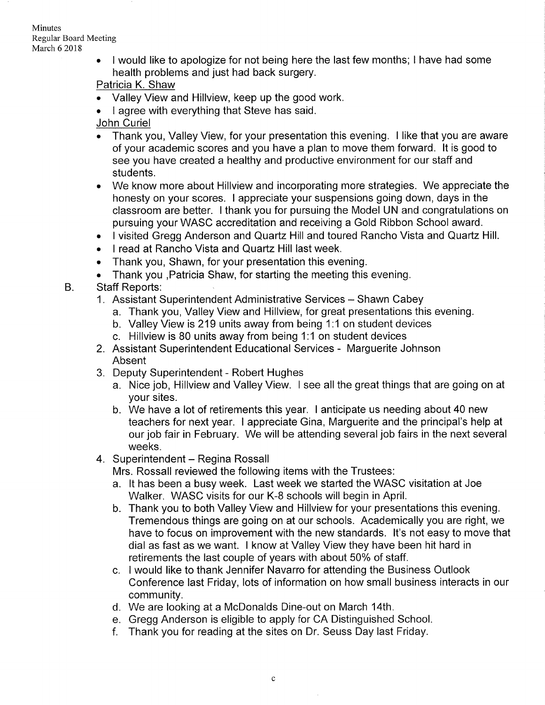**Minutes** Regular Board Meeting March 6 2018

> • I would like to apologize for not being here the last few months; I have had some health problems and just had back surgery.

Patricia K. Shaw

- . Valley View and Hillview, keep up the good work.
- . I agree with everything that Steve has said.

John Curiel

- . Thank you, Valley View, for your presentation this evening. I like that you are aware of your academic scores and you have a plan to move them fonvard. lt is good to see you have created a healthy and productive environment for our staff and students.
- . We know more about Hillview and incorporating more strategies. We appreciate the honesty on your scores. I appreciate your suspensions going down, days in the classroom are better. I thank you for pursuing the Model UN and congratulations on pursuing your WASC accreditation and receiving a Gold Ribbon School award.
- . I visited Gregg Anderson and Quartz Hill and toured Rancho Vista and Quartz Hill.
- . I read at Rancho Vista and Quartz Hill last week.
- . Thank you, Shawn, for your presentation this evening.
- . Thank you ,Patricia Shaw, for starting the meeting this evening.
- Staff Reports: B
	- 1. Assistant Superintendent Administrative Services Shawn Cabey
		- a. Thank you, Valley View and Hillview, for great presentations this evening.
		- b. Valley View is 219 units away from being 1.1 on student devices
		- c. Hillview is 80 units away from being  $1:1$  on student devices
	- 2. Assistant Superintendent Educational Services Marguerite Johnson Absent
	- 3. Deputy Superintendent Robert Hughes
		- a. Nice job, Hillview and Valley View. I see all the great things that are going on at your sites.
		- b. We have a lot of retirements this year. I anticipate us needing about 40 new teachers for next year. I appreciate Gina, Marguerite and the principal's help at our job fair in February. We will be attending several job fairs in the next several weeks.
	- 4. Superintendent Regina Rossall

Mrs. Rossall reviewed the following items with the Trustees:

- a. lt has been a busy week. Last week we started the WASC visitation at Joe Walker, WASC visits for our K-8 schools will begin in April.
- b. Thank you to both Valley View and Hillview for your presentations this evening. Tremendous things are going on at our schools. Academically you are right, we have to focus on improvement with the new standards. lt's not easy to move that dial as fast as we want. I know at Valley View they have been hit hard in retirements the last couple of years with about 50% of staff.
- c. I would like to thank Jennifer Navarro for attending the Business Outlook Conference last Friday, lots of information on how small business interacts in our community.
- d. We are looking at a McDonalds Dine-out on March 14th.
- e. Gregg Anderson is eligible to apply for CA Distinguished School. f. Thank you for reading at the sites on Dr. Seuss Day last Friday.
-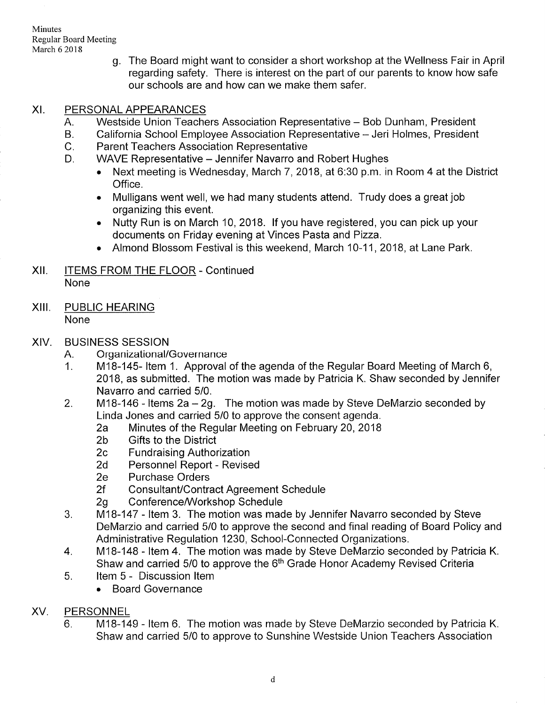g. The Board might want to consider a short workshop at the Wellness Fair in April regarding safety. There is interest on the part of our parents to know how safe our schools are and how can we make them safer.

## XI. PERSONAL APPEARANCES

- A. Westside Union Teachers Association Representative - Bob Dunham, President
- B. California School Employee Association Representative - Jeri Holmes, President
- C. Parent Teachers Association Representative
- D. WAVE Representative – Jennifer Navarro and Robert Hughes
	- Next meeting is Wednesday, March 7, 2018, at 6:30 p.m. in Room 4 at the District Office.
	- . Mulligans went well, we had many students attend. Trudy does a great job organizing this event.
	- . Nutty Run is on March 10,2018. lf you have registered, you can pick up your documents on Friday evening at Vinces Pasta and Pizza.
	- Almond Blossom Festival is this weekend, March 10-11, 2018, at Lane Park.
- Xll. ITEMS FROM THE FLOOR Continued None
- XIII. PUBLIC HEARING None

## XIV. BUSINESS SESSION

- 
- A. Organizational/Governance<br>1. M18-145- Item 1. Approval of the agenda of the Regular Board Meeting of March 6, 2018, as submitted. The motion was made by Patricia K. Shaw seconded by Jennifer Navarro and carried 5/0.
- 2. M18-146 Items  $2a 2g$ . The motion was made by Steve DeMarzio seconded by Linda Jones and carried 5/0 to approve the consent agenda.
	- 2a Minutes of the Regular Meeting on February 20, 2018<br>2b Gifts to the District
	-
	-
	- 2c Fundraising Authorization<br>2d Personnel Report Revised<br>2e Purchase Orders
	-
	-
	-
- 2f Consultant/Contract Agreement Schedule<br>2g Conference/Workshop Schedule<br>3. M18-147 Item 3. The motion was made by Jennifer Navarro seconded by Steve DeMarzio and carried 5/0 to approve the second and final reading of Board Policy and<br>Administrative Regulation 1230, School-Connected Organizations.
- 4. M18-148 Item 4. The motion was made by Steve DeMarzio seconded by Patricia K. Shaw and carried 5/0 to approve the 6<sup>th</sup> Grade Honor Academy Revised Criteria 15. ltem 5 - Discussion Item
- - . Board Governance

# XV. PERSONNEL

M18-149 - ltem 6. The motion was made by Steve DeMarzio seconded by Patricia <sup>K</sup> Shaw and carried 5/0 to approve to Sunshine Westside Union Teachers Association 6